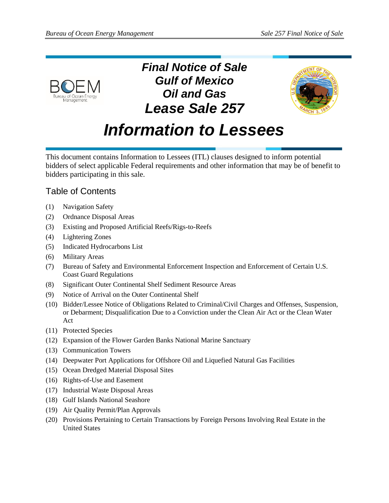

*Final Notice of Sale Gulf of Mexico Oil and Gas Lease Sale 257*



# *Information to Lessees*

This document contains Information to Lessees (ITL) clauses designed to inform potential bidders of select applicable Federal requirements and other information that may be of benefit to bidders participating in this sale.

# Table of Contents

- (1) [Navigation Safety](#page-1-0)
- (2) [Ordnance Disposal Areas](#page-1-1)
- (3) [Existing and Proposed Artificial Reefs/Rigs-to-Reefs](#page-2-0)
- (4) [Lightering Zones](#page-2-1)
- (5) [Indicated Hydrocarbons List](#page-3-0)
- (6) [Military Areas](#page-3-1)
- (7) [Bureau of Safety and Environmental Enforcement Inspection and Enforcement of Certain U.S.](#page-4-0)  [Coast Guard Regulations](#page-4-0)
- (8) [Significant Outer Continental Shelf Sediment Resource Areas](#page-4-1)
- (9) [Notice of Arrival on the Outer Continental Shelf](#page-7-0)
- (10) [Bidder/Lessee Notice of Obligations Related to Criminal/Civil Charges and Offenses, Suspension,](#page-7-1)  [or Debarment; Disqualification Due to a Conviction under the Clean Air Act or the Clean Water](#page-7-1)  [Act](#page-7-1)
- (11) [Protected Species](#page-8-0)
- (12) [Expansion of the Flower Garden Banks National Marine Sanctuary](#page-9-0)
- (13) [Communication Towers](#page-10-0)
- (14) [Deepwater Port Applications for Offshore Oil and Liquefied Natural Gas Facilities](#page-10-1)
- (15) [Ocean Dredged Material Disposal Sites](#page-12-0)
- (16) [Rights-of-Use and Easement](#page-13-0)
- (17) [Industrial Waste Disposal Areas](#page-14-0)
- (18) [Gulf Islands National Seashore](#page-14-1)
- (19) [Air Quality Permit/Plan Approvals](#page-16-0)
- (20) [Provisions Pertaining to Certain Transactions by Foreign Persons Involving Real Estate in the](#page-16-1)  [United States](#page-16-1)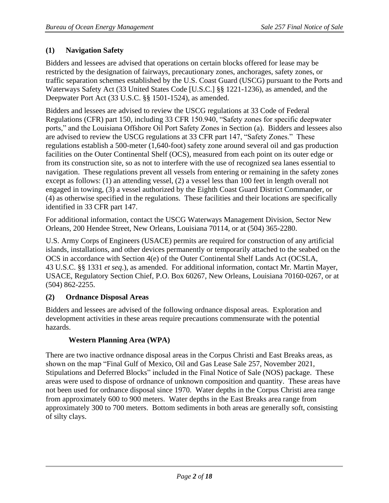## <span id="page-1-0"></span>**(1) Navigation Safety**

Bidders and lessees are advised that operations on certain blocks offered for lease may be restricted by the designation of fairways, precautionary zones, anchorages, safety zones, or traffic separation schemes established by the U.S. Coast Guard (USCG) pursuant to the Ports and Waterways Safety Act (33 United States Code [U.S.C.] §§ 1221-1236), as amended, and the Deepwater Port Act (33 U.S.C. §§ 1501-1524), as amended.

Bidders and lessees are advised to review the USCG regulations at 33 Code of Federal Regulations (CFR) part 150, including 33 CFR 150.940, "Safety zones for specific deepwater ports," and the Louisiana Offshore Oil Port Safety Zones in Section (a). Bidders and lessees also are advised to review the USCG regulations at 33 CFR part 147, "Safety Zones." These regulations establish a 500-meter (1,640-foot) safety zone around several oil and gas production facilities on the Outer Continental Shelf (OCS), measured from each point on its outer edge or from its construction site, so as not to interfere with the use of recognized sea lanes essential to navigation. These regulations prevent all vessels from entering or remaining in the safety zones except as follows: (1) an attending vessel, (2) a vessel less than 100 feet in length overall not engaged in towing, (3) a vessel authorized by the Eighth Coast Guard District Commander, or (4) as otherwise specified in the regulations. These facilities and their locations are specifically identified in 33 CFR part 147.

For additional information, contact the USCG Waterways Management Division, Sector New Orleans, 200 Hendee Street, New Orleans, Louisiana 70114, or at (504) 365-2280.

U.S. Army Corps of Engineers (USACE) permits are required for construction of any artificial islands, installations, and other devices permanently or temporarily attached to the seabed on the OCS in accordance with Section 4(e) of the Outer Continental Shelf Lands Act (OCSLA, 43 U.S.C. §§ 1331 *et seq*.), as amended. For additional information, contact Mr. Martin Mayer, USACE, Regulatory Section Chief, P.O. Box 60267, New Orleans, Louisiana 70160-0267, or at (504) 862-2255.

#### <span id="page-1-1"></span>**(2) Ordnance Disposal Areas**

Bidders and lessees are advised of the following ordnance disposal areas. Exploration and development activities in these areas require precautions commensurate with the potential hazards.

#### **Western Planning Area (WPA)**

There are two inactive ordnance disposal areas in the Corpus Christi and East Breaks areas, as shown on the map "Final Gulf of Mexico, Oil and Gas Lease Sale 257, November 2021, Stipulations and Deferred Blocks" included in the Final Notice of Sale (NOS) package. These areas were used to dispose of ordnance of unknown composition and quantity. These areas have not been used for ordnance disposal since 1970. Water depths in the Corpus Christi area range from approximately 600 to 900 meters. Water depths in the East Breaks area range from approximately 300 to 700 meters. Bottom sediments in both areas are generally soft, consisting of silty clays.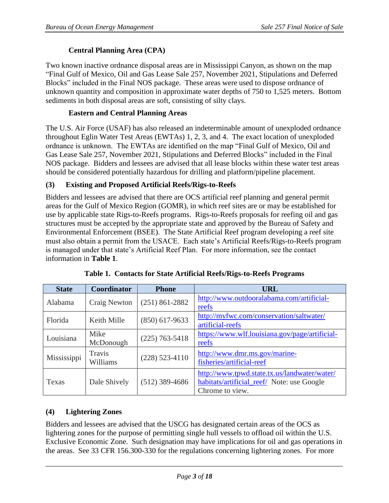# **Central Planning Area (CPA)**

Two known inactive ordnance disposal areas are in Mississippi Canyon, as shown on the map "Final Gulf of Mexico, Oil and Gas Lease Sale 257, November 2021, Stipulations and Deferred Blocks" included in the Final NOS package. These areas were used to dispose ordnance of unknown quantity and composition in approximate water depths of 750 to 1,525 meters. Bottom sediments in both disposal areas are soft, consisting of silty clays.

#### **Eastern and Central Planning Areas**

The U.S. Air Force (USAF) has also released an indeterminable amount of unexploded ordnance throughout Eglin Water Test Areas (EWTAs) 1, 2, 3, and 4. The exact location of unexploded ordnance is unknown. The EWTAs are identified on the map "Final Gulf of Mexico, Oil and Gas Lease Sale 257, November 2021, Stipulations and Deferred Blocks" included in the Final NOS package. Bidders and lessees are advised that all lease blocks within these water test areas should be considered potentially hazardous for drilling and platform/pipeline placement.

## <span id="page-2-0"></span>**(3) Existing and Proposed Artificial Reefs/Rigs-to-Reefs**

Bidders and lessees are advised that there are OCS artificial reef planning and general permit areas for the Gulf of Mexico Region (GOMR), in which reef sites are or may be established for use by applicable state Rigs-to-Reefs programs. Rigs-to-Reefs proposals for reefing oil and gas structures must be accepted by the appropriate state and approved by the Bureau of Safety and Environmental Enforcement (BSEE). The State Artificial Reef program developing a reef site must also obtain a permit from the USACE. Each state's Artificial Reefs/Rigs-to-Reefs program is managed under that state's Artificial Reef Plan. For more information, see the contact information in **Table 1**.

| <b>State</b> | Coordinator        | <b>Phone</b>       | <b>URL</b>                                                                                                    |
|--------------|--------------------|--------------------|---------------------------------------------------------------------------------------------------------------|
| Alabama      | Craig Newton       | $(251) 861 - 2882$ | http://www.outdooralabama.com/artificial-<br>reefs                                                            |
| Florida      | Keith Mille        | $(850)$ 617-9633   | http://myfwc.com/conservation/saltwater/<br>artificial-reefs                                                  |
| Louisiana    | Mike<br>McDonough  | $(225)$ 763-5418   | https://www.wlf.louisiana.gov/page/artificial-<br>reefs                                                       |
| Mississippi  | Travis<br>Williams | $(228)$ 523-4110   | http://www.dmr.ms.gov/marine-<br>fisheries/artificial-reef                                                    |
| Texas        | Dale Shively       | $(512)$ 389-4686   | http://www.tpwd.state.tx.us/landwater/water/<br>habitats/artificial_reef/ Note: use Google<br>Chrome to view. |

**Table 1. Contacts for State Artificial Reefs/Rigs-to-Reefs Programs**

# <span id="page-2-1"></span>**(4) Lightering Zones**

Bidders and lessees are advised that the USCG has designated certain areas of the OCS as lightering zones for the purpose of permitting single hull vessels to offload oil within the U.S. Exclusive Economic Zone. Such designation may have implications for oil and gas operations in the areas. See 33 CFR 156.300-330 for the regulations concerning lightering zones. For more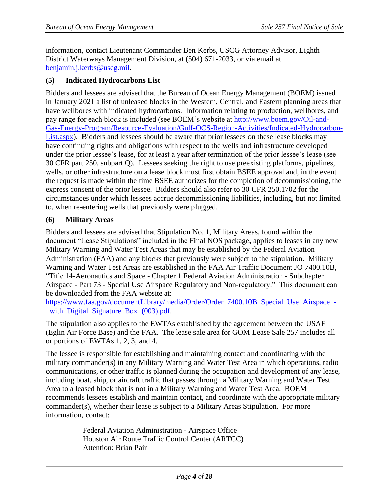information, contact Lieutenant Commander Ben Kerbs, USCG Attorney Advisor, Eighth District Waterways Management Division, at (504) 671-2033, or via email at [benjamin.j.kerbs@uscg.mil.](mailto:benjamin.j.kerbs@uscg.mil)

#### <span id="page-3-0"></span>**(5) Indicated Hydrocarbons List**

Bidders and lessees are advised that the Bureau of Ocean Energy Management (BOEM) issued in January 2021 a list of unleased blocks in the Western, Central, and Eastern planning areas that have wellbores with indicated hydrocarbons. Information relating to production, wellbores, and pay range for each block is included (see BOEM's website at [http://www.boem.gov/Oil-and-](http://www.boem.gov/Oil-and-Gas-Energy-Program/Resource-Evaluation/Gulf-OCS-Region-Activities/Indicated-Hydrocarbon-List.aspx)[Gas-Energy-Program/Resource-Evaluation/Gulf-OCS-Region-Activities/Indicated-Hydrocarbon-](http://www.boem.gov/Oil-and-Gas-Energy-Program/Resource-Evaluation/Gulf-OCS-Region-Activities/Indicated-Hydrocarbon-List.aspx)[List.aspx\)](http://www.boem.gov/Oil-and-Gas-Energy-Program/Resource-Evaluation/Gulf-OCS-Region-Activities/Indicated-Hydrocarbon-List.aspx). Bidders and lessees should be aware that prior lessees on these lease blocks may have continuing rights and obligations with respect to the wells and infrastructure developed under the prior lessee's lease, for at least a year after termination of the prior lessee's lease (see 30 CFR part 250, subpart Q). Lessees seeking the right to use preexisting platforms, pipelines, wells, or other infrastructure on a lease block must first obtain BSEE approval and, in the event the request is made within the time BSEE authorizes for the completion of decommissioning, the express consent of the prior lessee. Bidders should also refer to 30 CFR 250.1702 for the circumstances under which lessees accrue decommissioning liabilities, including, but not limited to, when re-entering wells that previously were plugged.

#### <span id="page-3-1"></span>**(6) Military Areas**

Bidders and lessees are advised that Stipulation No. 1, Military Areas, found within the document "Lease Stipulations" included in the Final NOS package, applies to leases in any new Military Warning and Water Test Areas that may be established by the Federal Aviation Administration (FAA) and any blocks that previously were subject to the stipulation. Military Warning and Water Test Areas are established in the FAA Air Traffic Document JO 7400.10B, "Title 14-Aeronautics and Space - Chapter 1 Federal Aviation Administration - Subchapter Airspace - Part 73 - Special Use Airspace Regulatory and Non-regulatory." This document can be downloaded from the FAA website at:

https://www.faa.gov/documentLibrary/media/Order/Order 7400.10B Special Use Airspace -[\\_with\\_Digital\\_Signature\\_Box\\_\(003\).pdf.](https://www.faa.gov/documentLibrary/media/Order/Order_7400.10B_Special_Use_Airspace_-_with_Digital_Signature_Box_(003).pdf)

The stipulation also applies to the EWTAs established by the agreement between the USAF (Eglin Air Force Base) and the FAA. The lease sale area for GOM Lease Sale 257 includes all or portions of EWTAs 1, 2, 3, and 4.

The lessee is responsible for establishing and maintaining contact and coordinating with the military commander(s) in any Military Warning and Water Test Area in which operations, radio communications, or other traffic is planned during the occupation and development of any lease, including boat, ship, or aircraft traffic that passes through a Military Warning and Water Test Area to a leased block that is not in a Military Warning and Water Test Area. BOEM recommends lessees establish and maintain contact, and coordinate with the appropriate military commander(s), whether their lease is subject to a Military Areas Stipulation. For more information, contact:

> Federal Aviation Administration - Airspace Office Houston Air Route Traffic Control Center (ARTCC) Attention: Brian Pair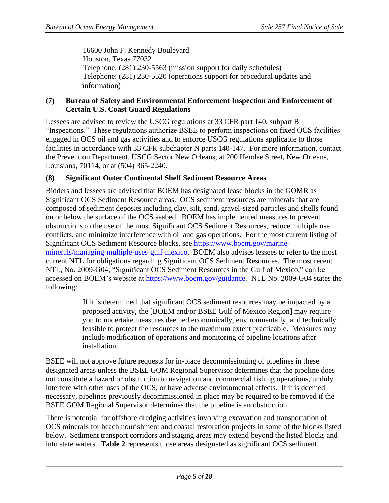16600 John F. Kennedy Boulevard Houston, Texas 77032 Telephone: (281) 230-5563 (mission support for daily schedules) Telephone: (281) 230-5520 (operations support for procedural updates and information)

#### <span id="page-4-0"></span>**(7) Bureau of Safety and Environmental Enforcement Inspection and Enforcement of Certain U.S. Coast Guard Regulations**

Lessees are advised to review the USCG regulations at 33 CFR part 140, subpart B "Inspections." These regulations authorize BSEE to perform inspections on fixed OCS facilities engaged in OCS oil and gas activities and to enforce USCG regulations applicable to those facilities in accordance with 33 CFR subchapter N parts 140-147. For more information, contact the Prevention Department, USCG Sector New Orleans, at 200 Hendee Street, New Orleans, Louisiana, 70114, or at (504) 365-2240.

#### <span id="page-4-1"></span>**(8) Significant Outer Continental Shelf Sediment Resource Areas**

Bidders and lessees are advised that BOEM has designated lease blocks in the GOMR as Significant OCS Sediment Resource areas. OCS sediment resources are minerals that are composed of sediment deposits including clay, silt, sand, gravel-sized particles and shells found on or below the surface of the OCS seabed. BOEM has implemented measures to prevent obstructions to the use of the most Significant OCS Sediment Resources, reduce multiple use conflicts, and minimize interference with oil and gas operations. For the most current listing of Significant OCS Sediment Resource blocks, see [https://www.boem.gov/marine](https://www.boem.gov/marine-minerals/managing-multiple-uses-gulf-mexico)[minerals/managing-multiple-uses-gulf-mexico.](https://www.boem.gov/marine-minerals/managing-multiple-uses-gulf-mexico) BOEM also advises lessees to refer to the most current NTL for obligations regarding Significant OCS Sediment Resources. The most recent NTL, No. 2009-G04, "Significant OCS Sediment Resources in the Gulf of Mexico," can be accessed on BOEM's website at [https://www.boem.gov/guidance.](https://www.boem.gov/guidance) NTL No. 2009-G04 states the following:

> If it is determined that significant OCS sediment resources may be impacted by a proposed activity, the [BOEM and/or BSEE Gulf of Mexico Region] may require you to undertake measures deemed economically, environmentally, and technically feasible to protect the resources to the maximum extent practicable. Measures may include modification of operations and monitoring of pipeline locations after installation.

BSEE will not approve future requests for in-place decommissioning of pipelines in these designated areas unless the BSEE GOM Regional Supervisor determines that the pipeline does not constitute a hazard or obstruction to navigation and commercial fishing operations, unduly interfere with other uses of the OCS, or have adverse environmental effects. If it is deemed necessary, pipelines previously decommissioned in place may be required to be removed if the BSEE GOM Regional Supervisor determines that the pipeline is an obstruction.

There is potential for offshore dredging activities involving excavation and transportation of OCS minerals for beach nourishment and coastal restoration projects in some of the blocks listed below. Sediment transport corridors and staging areas may extend beyond the listed blocks and into state waters. **Table 2** represents those areas designated as significant OCS sediment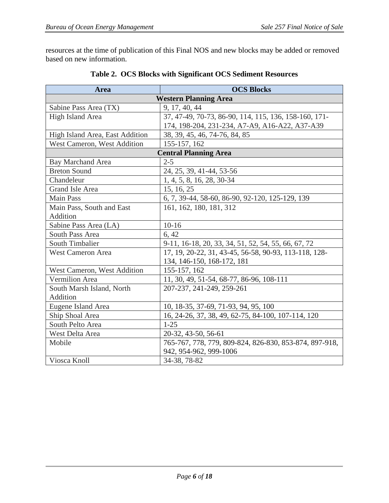resources at the time of publication of this Final NOS and new blocks may be added or removed based on new information.

| Area                            | <b>OCS Blocks</b>                                      |  |
|---------------------------------|--------------------------------------------------------|--|
| <b>Western Planning Area</b>    |                                                        |  |
| Sabine Pass Area (TX)           | 9, 17, 40, 44                                          |  |
| High Island Area                | 37, 47-49, 70-73, 86-90, 114, 115, 136, 158-160, 171-  |  |
|                                 | 174, 198-204, 231-234, A7-A9, A16-A22, A37-A39         |  |
| High Island Area, East Addition | 38, 39, 45, 46, 74-76, 84, 85                          |  |
| West Cameron, West Addition     | 155-157, 162                                           |  |
|                                 | <b>Central Planning Area</b>                           |  |
| <b>Bay Marchand Area</b>        | $2 - 5$                                                |  |
| <b>Breton Sound</b>             | 24, 25, 39, 41-44, 53-56                               |  |
| Chandeleur                      | 1, 4, 5, 8, 16, 28, 30-34                              |  |
| Grand Isle Area                 | 15, 16, 25                                             |  |
| <b>Main Pass</b>                | 6, 7, 39-44, 58-60, 86-90, 92-120, 125-129, 139        |  |
| Main Pass, South and East       | 161, 162, 180, 181, 312                                |  |
| Addition                        |                                                        |  |
| Sabine Pass Area (LA)           | $10-16$                                                |  |
| South Pass Area                 | 6, 42                                                  |  |
| South Timbalier                 | 9-11, 16-18, 20, 33, 34, 51, 52, 54, 55, 66, 67, 72    |  |
| <b>West Cameron Area</b>        | 17, 19, 20-22, 31, 43-45, 56-58, 90-93, 113-118, 128-  |  |
|                                 | 134, 146-150, 168-172, 181                             |  |
| West Cameron, West Addition     | 155-157, 162                                           |  |
| <b>Vermilion</b> Area           | 11, 30, 49, 51-54, 68-77, 86-96, 108-111               |  |
| South Marsh Island, North       | 207-237, 241-249, 259-261                              |  |
| Addition                        |                                                        |  |
| Eugene Island Area              | 10, 18-35, 37-69, 71-93, 94, 95, 100                   |  |
| Ship Shoal Area                 | 16, 24-26, 37, 38, 49, 62-75, 84-100, 107-114, 120     |  |
| South Pelto Area                | $1 - 25$                                               |  |
| West Delta Area                 | 20-32, 43-50, 56-61                                    |  |
| Mobile                          | 765-767, 778, 779, 809-824, 826-830, 853-874, 897-918, |  |
|                                 | 942, 954-962, 999-1006                                 |  |
| Viosca Knoll                    | 34-38, 78-82                                           |  |

# **Table 2. OCS Blocks with Significant OCS Sediment Resources**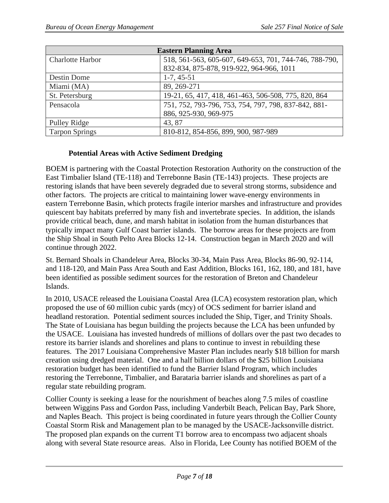| <b>Eastern Planning Area</b> |                                                        |  |
|------------------------------|--------------------------------------------------------|--|
| <b>Charlotte Harbor</b>      | 518, 561-563, 605-607, 649-653, 701, 744-746, 788-790, |  |
|                              | 832-834, 875-878, 919-922, 964-966, 1011               |  |
| Destin Dome                  | $1-7, 45-51$                                           |  |
| Miami (MA)                   | 89, 269-271                                            |  |
| St. Petersburg               | 19-21, 65, 417, 418, 461-463, 506-508, 775, 820, 864   |  |
| Pensacola                    | 751, 752, 793-796, 753, 754, 797, 798, 837-842, 881-   |  |
|                              | 886, 925-930, 969-975                                  |  |
| Pulley Ridge                 | 43, 87                                                 |  |
| <b>Tarpon Springs</b>        | 810-812, 854-856, 899, 900, 987-989                    |  |

#### **Potential Areas with Active Sediment Dredging**

BOEM is partnering with the Coastal Protection Restoration Authority on the construction of the East Timbalier Island (TE-118) and Terrebonne Basin (TE-143) projects. These projects are restoring islands that have been severely degraded due to several strong storms, subsidence and other factors. The projects are critical to maintaining lower wave-energy environments in eastern Terrebonne Basin, which protects fragile interior marshes and infrastructure and provides quiescent bay habitats preferred by many fish and invertebrate species. In addition, the islands provide critical beach, dune, and marsh habitat in isolation from the human disturbances that typically impact many Gulf Coast barrier islands. The borrow areas for these projects are from the Ship Shoal in South Pelto Area Blocks 12-14. Construction began in March 2020 and will continue through 2022.

St. Bernard Shoals in Chandeleur Area, Blocks 30-34, Main Pass Area, Blocks 86-90, 92-114, and 118-120, and Main Pass Area South and East Addition, Blocks 161, 162, 180, and 181, have been identified as possible sediment sources for the restoration of Breton and Chandeleur Islands.

In 2010, USACE released the Louisiana Coastal Area (LCA) ecosystem restoration plan, which proposed the use of 60 million cubic yards (mcy) of OCS sediment for barrier island and headland restoration. Potential sediment sources included the Ship, Tiger, and Trinity Shoals. The State of Louisiana has begun building the projects because the LCA has been unfunded by the USACE. Louisiana has invested hundreds of millions of dollars over the past two decades to restore its barrier islands and shorelines and plans to continue to invest in rebuilding these features. The 2017 Louisiana Comprehensive Master Plan includes nearly \$18 billion for marsh creation using dredged material. One and a half billion dollars of the \$25 billion Louisiana restoration budget has been identified to fund the Barrier Island Program, which includes restoring the Terrebonne, Timbalier, and Barataria barrier islands and shorelines as part of a regular state rebuilding program.

Collier County is seeking a lease for the nourishment of beaches along 7.5 miles of coastline between Wiggins Pass and Gordon Pass, including Vanderbilt Beach, Pelican Bay, Park Shore, and Naples Beach. This project is being coordinated in future years through the Collier County Coastal Storm Risk and Management plan to be managed by the USACE-Jacksonville district. The proposed plan expands on the current T1 borrow area to encompass two adjacent shoals along with several State resource areas. Also in Florida, Lee County has notified BOEM of the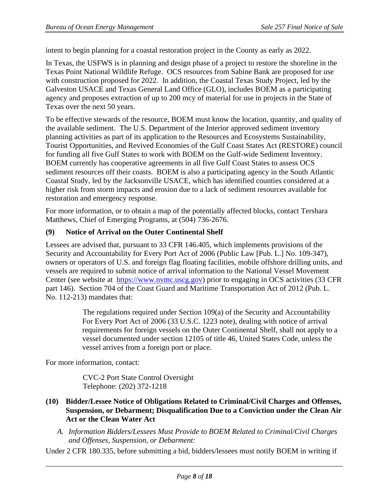intent to begin planning for a coastal restoration project in the County as early as 2022.

In Texas, the USFWS is in planning and design phase of a project to restore the shoreline in the Texas Point National Wildlife Refuge. OCS resources from Sabine Bank are proposed for use with construction proposed for 2022. In addition, the Coastal Texas Study Project, led by the Galveston USACE and Texas General Land Office (GLO), includes BOEM as a participating agency and proposes extraction of up to 200 mcy of material for use in projects in the State of Texas over the next 50 years.

To be effective stewards of the resource, BOEM must know the location, quantity, and quality of the available sediment. The U.S. Department of the Interior approved sediment inventory planning activities as part of its application to the Resources and Ecosystems Sustainability, Tourist Opportunities, and Revived Economies of the Gulf Coast States Act (RESTORE) council for funding all five Gulf States to work with BOEM on the Gulf-wide Sediment Inventory. BOEM currently has cooperative agreements in all five Gulf Coast States to assess OCS sediment resources off their coasts. BOEM is also a participating agency in the South Atlantic Coastal Study, led by the Jacksonville USACE, which has identified counties considered at a higher risk from storm impacts and erosion due to a lack of sediment resources available for restoration and emergency response.

For more information, or to obtain a map of the potentially affected blocks, contact Tershara Matthews, Chief of Emerging Programs, at (504) 736-2676.

#### <span id="page-7-0"></span>**(9) Notice of Arrival on the Outer Continental Shelf**

Lessees are advised that, pursuant to 33 CFR 146.405, which implements provisions of the Security and Accountability for Every Port Act of 2006 (Public Law [Pub. L.] No. 109-347), owners or operators of U.S. and foreign flag floating facilities, mobile offshore drilling units, and vessels are required to submit notice of arrival information to the National Vessel Movement Center (see website at [https://www.nvmc.uscg.gov\)](https://www.nvmc.uscg.gov/) prior to engaging in OCS activities (33 CFR part 146). Section 704 of the Coast Guard and Maritime Transportation Act of 2012 (Pub. L. No. 112-213) mandates that:

> The regulations required under Section 109(a) of the Security and Accountability For Every Port Act of 2006 (33 U.S.C. 1223 note), dealing with notice of arrival requirements for foreign vessels on the Outer Continental Shelf, shall not apply to a vessel documented under section 12105 of title 46, United States Code, unless the vessel arrives from a foreign port or place.

For more information, contact:

CVC-2 Port State Control Oversight Telephone: (202) 372-1218

- <span id="page-7-1"></span>**(10) Bidder/Lessee Notice of Obligations Related to Criminal/Civil Charges and Offenses, Suspension, or Debarment; Disqualification Due to a Conviction under the Clean Air Act or the Clean Water Act**
	- *A. Information Bidders/Lessees Must Provide to BOEM Related to Criminal/Civil Charges and Offenses, Suspension, or Debarment:*

Under 2 CFR 180.335, before submitting a bid, bidders/lessees must notify BOEM in writing if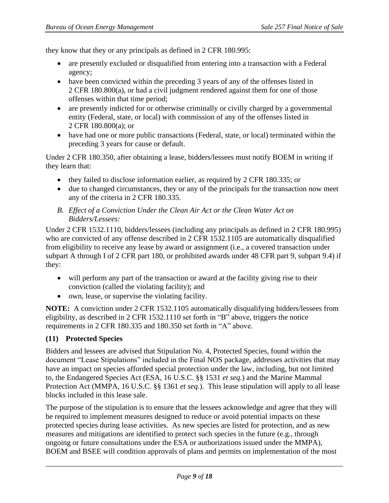they know that they or any principals as defined in 2 CFR 180.995:

- are presently excluded or disqualified from entering into a transaction with a Federal agency;
- have been convicted within the preceding 3 years of any of the offenses listed in 2 CFR [180.800\(a\),](http://www.law.cornell.edu/cfr/text/2/180.800#a) or had a civil judgment rendered against them for one of those offenses within that time period;
- are presently indicted for or otherwise criminally or civilly charged by a governmental entity (Federal, state, or local) with commission of any of the offenses listed in 2 CFR [180.800\(a\);](http://www.law.cornell.edu/cfr/text/2/180.800#a) or
- have had one or more public transactions (Federal, state, or local) terminated within the preceding 3 years for cause or default.

Under 2 CFR 180.350, after obtaining a lease, bidders/lessees must notify BOEM in writing if they learn that:

- they failed to disclose information earlier, as required by 2 CFR 180.335; or
- due to changed circumstances, they or any of the principals for the transaction now meet any of the criteria in 2 CFR 180.335.
- *B. Effect of a Conviction Under the Clean Air Act or the Clean Water Act on Bidders/Lessees:*

Under 2 CFR 1532.1110, bidders/lessees (including any principals as defined in 2 CFR 180.995) who are convicted of any offense described in 2 CFR 1532.1105 are automatically disqualified from eligibility to receive any lease by award or assignment (i.e., a covered transaction under subpart A through I of 2 CFR part 180, or prohibited awards under 48 CFR part 9, subpart 9.4) if they:

- will perform any part of the transaction or award at the facility giving rise to their conviction (called the violating facility); and
- own, lease, or supervise the violating facility.

**NOTE:** A conviction under 2 CFR 1532.1105 automatically disqualifying bidders/lessees from eligibility, as described in 2 CFR 1532.1110 set forth in "B" above, triggers the notice requirements in 2 CFR 180.335 and 180.350 set forth in "A" above.

#### <span id="page-8-0"></span>**(11) Protected Species**

Bidders and lessees are advised that Stipulation No. 4, Protected Species, found within the document "Lease Stipulations" included in the Final NOS package, addresses activities that may have an impact on species afforded special protection under the law, including, but not limited to, the Endangered Species Act (ESA, 16 U.S.C. §§ 1531 *et seq.*) and the Marine Mammal Protection Act (MMPA, 16 U.S.C. §§ 1361 *et seq.*). This lease stipulation will apply to all lease blocks included in this lease sale.

The purpose of the stipulation is to ensure that the lessees acknowledge and agree that they will be required to implement measures designed to reduce or avoid potential impacts on these protected species during lease activities. As new species are listed for protection, and as new measures and mitigations are identified to protect such species in the future (e.g., through ongoing or future consultations under the ESA or authorizations issued under the MMPA), BOEM and BSEE will condition approvals of plans and permits on implementation of the most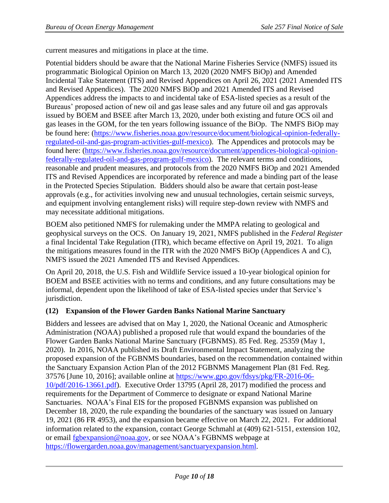current measures and mitigations in place at the time.

Potential bidders should be aware that the National Marine Fisheries Service (NMFS) issued its programmatic Biological Opinion on March 13, 2020 (2020 NMFS BiOp) and Amended Incidental Take Statement (ITS) and Revised Appendices on April 26, 2021 (2021 Amended ITS and Revised Appendices). The 2020 NMFS BiOp and 2021 Amended ITS and Revised Appendices address the impacts to and incidental take of ESA-listed species as a result of the Bureaus' proposed action of new oil and gas lease sales and any future oil and gas approvals issued by BOEM and BSEE after March 13, 2020, under both existing and future OCS oil and gas leases in the GOM, for the ten years following issuance of the BiOp. The NMFS BiOp may be found here: [\(https://www.fisheries.noaa.gov/resource/document/biological-opinion-federally](https://www.fisheries.noaa.gov/resource/document/biological-opinion-federally-regulated-oil-and-gas-program-activities-gulf-mexico)[regulated-oil-and-gas-program-activities-gulf-mexico\)](https://www.fisheries.noaa.gov/resource/document/biological-opinion-federally-regulated-oil-and-gas-program-activities-gulf-mexico). The Appendices and protocols may be found here: [\(https://www.fisheries.noaa.gov/resource/document/appendices-biological-opinion](https://www.fisheries.noaa.gov/resource/document/appendices-biological-opinion-federally-regulated-oil-and-gas-program-gulf-mexico)[federally-regulated-oil-and-gas-program-gulf-mexico\)](https://www.fisheries.noaa.gov/resource/document/appendices-biological-opinion-federally-regulated-oil-and-gas-program-gulf-mexico). The relevant terms and conditions, reasonable and prudent measures, and protocols from the 2020 NMFS BiOp and 2021 Amended ITS and Revised Appendices are incorporated by reference and made a binding part of the lease in the Protected Species Stipulation. Bidders should also be aware that certain post-lease approvals (e.g., for activities involving new and unusual technologies, certain seismic surveys, and equipment involving entanglement risks) will require step-down review with NMFS and may necessitate additional mitigations.

BOEM also petitioned NMFS for rulemaking under the MMPA relating to geological and geophysical surveys on the OCS. On January 19, 2021, NMFS published in the *Federal Register* a final Incidental Take Regulation (ITR), which became effective on April 19, 2021. To align the mitigations measures found in the ITR with the 2020 NMFS BiOp (Appendices A and C), NMFS issued the 2021 Amended ITS and Revised Appendices.

On April 20, 2018, the U.S. Fish and Wildlife Service issued a 10-year biological opinion for BOEM and BSEE activities with no terms and conditions, and any future consultations may be informal, dependent upon the likelihood of take of ESA-listed species under that Service's jurisdiction.

#### <span id="page-9-0"></span>**(12) Expansion of the Flower Garden Banks National Marine Sanctuary**

Bidders and lessees are advised that on May 1, 2020, the National Oceanic and Atmospheric Administration (NOAA) published a proposed rule that would expand the boundaries of the Flower Garden Banks National Marine Sanctuary (FGBNMS). 85 Fed. Reg. 25359 (May 1, 2020). In 2016, NOAA published its Draft Environmental Impact Statement, analyzing the proposed expansion of the FGBNMS boundaries, based on the recommendation contained within the Sanctuary Expansion Action Plan of the 2012 FGBNMS Management Plan (81 Fed. Reg. 37576 [June 10, 2016]; available online at [https://www.gpo.gov/fdsys/pkg/FR-2016-06-](https://www.gpo.gov/fdsys/pkg/FR-2016-06-10/pdf/2016-13661.pdf) [10/pdf/2016-13661.pdf\)](https://www.gpo.gov/fdsys/pkg/FR-2016-06-10/pdf/2016-13661.pdf). Executive Order 13795 (April 28, 2017) modified the process and requirements for the Department of Commerce to designate or expand National Marine Sanctuaries. NOAA's Final EIS for the proposed FGBNMS expansion was published on December 18, 2020, the rule expanding the boundaries of the sanctuary was issued on January 19, 2021 (86 FR 4953), and the expansion became effective on March 22, 2021. For additional information related to the expansion, contact George Schmahl at (409) 621-5151, extension 102, or email [fgbexpansion@noaa.gov,](mailto:fgbexpansion@noaa.gov) or see NOAA's FGBNMS webpage at https://flowergarden.noaa.gov/management/sanctuaryexpansion.html.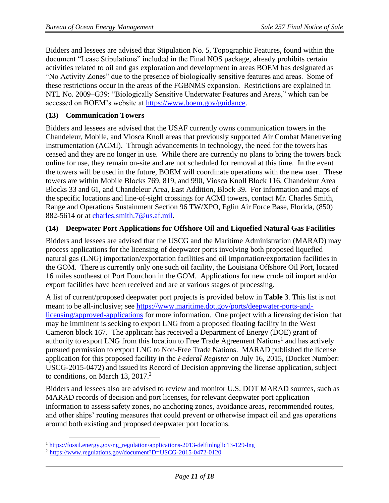Bidders and lessees are advised that Stipulation No. 5, Topographic Features, found within the document "Lease Stipulations" included in the Final NOS package, already prohibits certain activities related to oil and gas exploration and development in areas BOEM has designated as "No Activity Zones" due to the presence of biologically sensitive features and areas. Some of these restrictions occur in the areas of the FGBNMS expansion. Restrictions are explained in NTL No. 2009–G39: "Biologically Sensitive Underwater Features and Areas," which can be accessed on BOEM's website at [https://www.boem.gov/guidance.](https://www.boem.gov/guidance)

#### <span id="page-10-0"></span>**(13) Communication Towers**

Bidders and lessees are advised that the USAF currently owns communication towers in the Chandeleur, Mobile, and Viosca Knoll areas that previously supported Air Combat Maneuvering Instrumentation (ACMI). Through advancements in technology, the need for the towers has ceased and they are no longer in use. While there are currently no plans to bring the towers back online for use, they remain on-site and are not scheduled for removal at this time. In the event the towers will be used in the future, BOEM will coordinate operations with the new user. These towers are within Mobile Blocks 769, 819, and 990, Viosca Knoll Block 116, Chandeleur Area Blocks 33 and 61, and Chandeleur Area, East Addition, Block 39. For information and maps of the specific locations and line-of-sight crossings for ACMI towers, contact Mr. Charles Smith, Range and Operations Sustainment Section 96 TW/XPO, Eglin Air Force Base, Florida, (850) 882-5614 or at [charles.smith.7@us.af.mil.](mailto:charles.smith.7@us.af.mil)

#### <span id="page-10-1"></span>**(14) Deepwater Port Applications for Offshore Oil and Liquefied Natural Gas Facilities**

Bidders and lessees are advised that the USCG and the Maritime Administration (MARAD) may process applications for the licensing of deepwater ports involving both proposed liquefied natural gas (LNG) importation/exportation facilities and oil importation/exportation facilities in the GOM. There is currently only one such oil facility, the Louisiana Offshore Oil Port, located 16 miles southeast of Port Fourchon in the GOM. Applications for new crude oil import and/or export facilities have been received and are at various stages of processing.

A list of current/proposed deepwater port projects is provided below in **Table 3**. This list is not meant to be all-inclusive; see [https://www.maritime.dot.gov/ports/deepwater-ports-and](https://www.maritime.dot.gov/ports/deepwater-ports-and-licensing/approved-applications)[licensing/approved-applications](https://www.maritime.dot.gov/ports/deepwater-ports-and-licensing/approved-applications) for more information. One project with a licensing decision that may be imminent is seeking to export LNG from a proposed floating facility in the West Cameron block 167. The applicant has received a Department of Energy (DOE) grant of authority to export LNG from this location to Free Trade Agreement Nations<sup>1</sup> and has actively pursued permission to export LNG to Non-Free Trade Nations. MARAD published the license application for this proposed facility in the *Federal Register* on July 16, 2015, (Docket Number: USCG-2015-0472) and issued its Record of Decision approving the license application, subject to conditions, on March 13,  $2017<sup>2</sup>$ 

Bidders and lessees also are advised to review and monitor U.S. DOT MARAD sources, such as MARAD records of decision and port licenses, for relevant deepwater port application information to assess safety zones, no anchoring zones, avoidance areas, recommended routes, and other ships' routing measures that could prevent or otherwise impact oil and gas operations around both existing and proposed deepwater port locations.

<sup>&</sup>lt;sup>1</sup> [https://fossil.energy.gov/ng\\_regulation/applications-2013-delfinlngllc13-129-lng](https://fossil.energy.gov/ng_regulation/applications-2013-delfinlngllc13-129-lng)

<sup>2</sup> <https://www.regulations.gov/document?D=USCG-2015-0472-0120>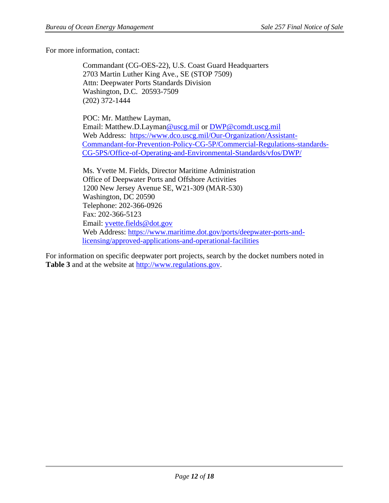For more information, contact:

Commandant (CG-OES-22), U.S. Coast Guard Headquarters 2703 Martin Luther King Ave., SE (STOP 7509) Attn: Deepwater Ports Standards Division Washington, D.C. 20593-7509 (202) 372-1444

POC: Mr. Matthew Layman, Email: Matthew.D.Layman@uscg.mil or DWP@comdt.uscg.mil Web Address: [https://www.dco.uscg.mil/Our-Organization/Assistant-](https://www.dco.uscg.mil/Our-Organization/Assistant-Commandant-for-Prevention-Policy-CG-5P/Commercial-Regulations-standards-CG-5PS/Office-of-Operating-and-Environmental-Standards/vfos/DWP/)[Commandant-for-Prevention-Policy-CG-5P/Commercial-Regulations-standards-](https://www.dco.uscg.mil/Our-Organization/Assistant-Commandant-for-Prevention-Policy-CG-5P/Commercial-Regulations-standards-CG-5PS/Office-of-Operating-and-Environmental-Standards/vfos/DWP/)[CG-5PS/Office-of-Operating-and-Environmental-Standards/vfos/DWP/](https://www.dco.uscg.mil/Our-Organization/Assistant-Commandant-for-Prevention-Policy-CG-5P/Commercial-Regulations-standards-CG-5PS/Office-of-Operating-and-Environmental-Standards/vfos/DWP/)

Ms. Yvette M. Fields, Director Maritime Administration Office of Deepwater Ports and Offshore Activities 1200 New Jersey Avenue SE, W21-309 (MAR-530) Washington, DC 20590 Telephone: 202-366-0926 Fax: 202-366-5123 Email: [yvette.fields@dot.gov](mailto:yvette.fields@dot.gov) Web Address: [https://www.maritime.dot.gov/ports/deepwater-ports-and](https://www.maritime.dot.gov/ports/deepwater-ports-and-licensing/approved-applications-and-operational-facilities)[licensing/approved-applications-and-operational-facilities](https://www.maritime.dot.gov/ports/deepwater-ports-and-licensing/approved-applications-and-operational-facilities)

For information on specific deepwater port projects, search by the docket numbers noted in **Table 3** and at the website at [http://www.regulations.gov.](http://www.regulations.gov/)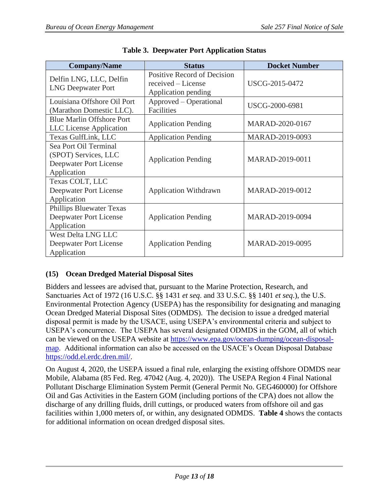| <b>Company/Name</b>                                                                    | <b>Status</b>                                                            | <b>Docket Number</b> |
|----------------------------------------------------------------------------------------|--------------------------------------------------------------------------|----------------------|
| Delfin LNG, LLC, Delfin<br><b>LNG Deepwater Port</b>                                   | Positive Record of Decision<br>received - License<br>Application pending | USCG-2015-0472       |
| Louisiana Offshore Oil Port<br>(Marathon Domestic LLC).                                | Approved – Operational<br>Facilities                                     | USCG-2000-6981       |
| <b>Blue Marlin Offshore Port</b><br><b>LLC</b> License Application                     | <b>Application Pending</b>                                               | MARAD-2020-0167      |
| Texas GulfLink, LLC                                                                    | <b>Application Pending</b>                                               | MARAD-2019-0093      |
| Sea Port Oil Terminal<br>(SPOT) Services, LLC<br>Deepwater Port License<br>Application | <b>Application Pending</b>                                               | MARAD-2019-0011      |
| Texas COLT, LLC<br>Deepwater Port License<br>Application                               | <b>Application Withdrawn</b>                                             | MARAD-2019-0012      |
| <b>Phillips Bluewater Texas</b><br>Deepwater Port License<br>Application               | <b>Application Pending</b>                                               | MARAD-2019-0094      |
| <b>West Delta LNG LLC</b><br>Deepwater Port License<br>Application                     | <b>Application Pending</b>                                               | MARAD-2019-0095      |

| <b>Table 3. Deepwater Port Application Status</b> |  |  |  |
|---------------------------------------------------|--|--|--|
|---------------------------------------------------|--|--|--|

# <span id="page-12-0"></span>**(15) Ocean Dredged Material Disposal Sites**

Bidders and lessees are advised that, pursuant to the Marine Protection, Research, and Sanctuaries Act of 1972 (16 U.S.C. §§ 1431 *et seq*. and 33 U.S.C. §§ 1401 *et seq*.), the U.S. Environmental Protection Agency (USEPA) has the responsibility for designating and managing Ocean Dredged Material Disposal Sites (ODMDS). The decision to issue a dredged material disposal permit is made by the USACE, using USEPA's environmental criteria and subject to USEPA's concurrence. The USEPA has several designated ODMDS in the GOM, all of which can be viewed on the USEPA website a[t](https://www.epa.gov/ocean-dumping/ocean-disposal-map) [https://www.epa.gov/ocean-dumping/ocean-disposal](https://www.epa.gov/ocean-dumping/ocean-disposal-map)[map.](https://www.epa.gov/ocean-dumping/ocean-disposal-map) Additional information can also be accessed on the USACE's Ocean Disposal Database [https://odd.el.erdc.dren.mil/.](https://odd.el.erdc.dren.mil/)

On August 4, 2020, the USEPA issued a final rule, enlarging the existing offshore ODMDS near Mobile, Alabama (85 Fed. Reg. 47042 (Aug. 4, 2020)). The USEPA Region 4 Final National Pollutant Discharge Elimination System Permit (General Permit No. GEG460000) for Offshore Oil and Gas Activities in the Eastern GOM (including portions of the CPA) does not allow the discharge of any drilling fluids, drill cuttings, or produced waters from offshore oil and gas facilities within 1,000 meters of, or within, any designated ODMDS. **Table 4** shows the contacts for additional information on ocean dredged disposal sites.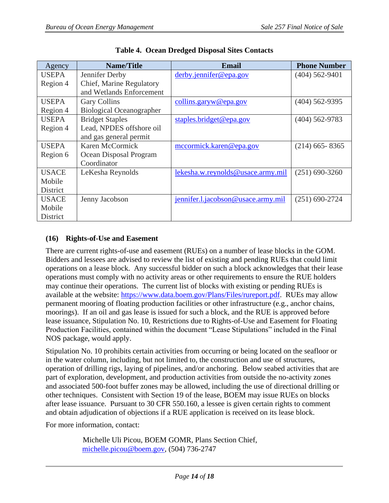| Agency       | <b>Name/Title</b>               | <b>Email</b>                       | <b>Phone Number</b> |
|--------------|---------------------------------|------------------------------------|---------------------|
| <b>USEPA</b> | Jennifer Derby                  | derby.jennifer@epa.gov             | $(404)$ 562-9401    |
| Region 4     | Chief, Marine Regulatory        |                                    |                     |
|              | and Wetlands Enforcement        |                                    |                     |
| <b>USEPA</b> | <b>Gary Collins</b>             | collins.garyw@epa.gov              | $(404)$ 562-9395    |
| Region 4     | <b>Biological Oceanographer</b> |                                    |                     |
| <b>USEPA</b> | <b>Bridget Staples</b>          | staples.bridget@epa.gov            | $(404)$ 562-9783    |
| Region 4     | Lead, NPDES offshore oil        |                                    |                     |
|              | and gas general permit          |                                    |                     |
| <b>USEPA</b> | Karen McCormick                 | mccormick.karen@epa.gov            | $(214)$ 665 - 8365  |
| Region 6     | Ocean Disposal Program          |                                    |                     |
|              | Coordinator                     |                                    |                     |
| <b>USACE</b> | LeKesha Reynolds                | lekesha.w.reynolds@usace.army.mil  | $(251) 690 - 3260$  |
| Mobile       |                                 |                                    |                     |
| District     |                                 |                                    |                     |
| <b>USACE</b> | Jenny Jacobson                  | jennifer.l.jacobson@usace.army.mil | $(251) 690 - 2724$  |
| Mobile       |                                 |                                    |                     |
| District     |                                 |                                    |                     |

**Table 4. Ocean Dredged Disposal Sites Contacts** 

# <span id="page-13-0"></span>**(16) Rights-of-Use and Easement**

There are current rights-of-use and easement (RUEs) on a number of lease blocks in the GOM. Bidders and lessees are advised to review the list of existing and pending RUEs that could limit operations on a lease block. Any successful bidder on such a block acknowledges that their lease operations must comply with no activity areas or other requirements to ensure the RUE holders may continue their operations. The current list of blocks with existing or pending RUEs is available at the website: [https://www.data.boem.gov/Plans/Files/rureport.pdf.](https://www.data.boem.gov/Plans/Files/rureport.pdf) RUEs may allow permanent mooring of floating production facilities or other infrastructure (e.g., anchor chains, moorings). If an oil and gas lease is issued for such a block, and the RUE is approved before lease issuance, Stipulation No. 10, Restrictions due to Rights-of-Use and Easement for Floating Production Facilities, contained within the document "Lease Stipulations" included in the Final NOS package, would apply.

Stipulation No. 10 prohibits certain activities from occurring or being located on the seafloor or in the water column, including, but not limited to, the construction and use of structures, operation of drilling rigs, laying of pipelines, and/or anchoring. Below seabed activities that are part of exploration, development, and production activities from outside the no-activity zones and associated 500-foot buffer zones may be allowed, including the use of directional drilling or other techniques. Consistent with Section 19 of the lease, BOEM may issue RUEs on blocks after lease issuance. Pursuant to 30 CFR 550.160, a lessee is given certain rights to comment and obtain adjudication of objections if a RUE application is received on its lease block.

For more information, contact:

Michelle Uli Picou, BOEM GOMR, Plans Section Chief, [michelle.picou@boem.gov,](mailto:michelle.picou@boem.gov) (504) 736-2747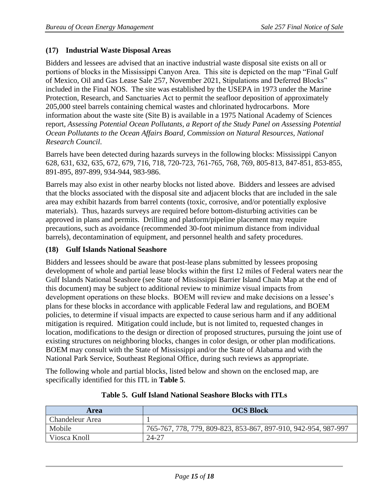#### <span id="page-14-0"></span>**(17) Industrial Waste Disposal Areas**

Bidders and lessees are advised that an inactive industrial waste disposal site exists on all or portions of blocks in the Mississippi Canyon Area. This site is depicted on the map "Final Gulf of Mexico, Oil and Gas Lease Sale 257, November 2021, Stipulations and Deferred Blocks" included in the Final NOS. The site was established by the USEPA in 1973 under the Marine Protection, Research, and Sanctuaries Act to permit the seafloor deposition of approximately 205,000 steel barrels containing chemical wastes and chlorinated hydrocarbons. More information about the waste site (Site B) is available in a 1975 National Academy of Sciences report, *Assessing Potential Ocean Pollutants, a Report of the Study Panel on Assessing Potential Ocean Pollutants to the Ocean Affairs Board, Commission on Natural Resources, National Research Council*.

Barrels have been detected during hazards surveys in the following blocks: Mississippi Canyon 628, 631, 632, 635, 672, 679, 716, 718, 720-723, 761-765, 768, 769, 805-813, 847-851, 853-855, 891-895, 897-899, 934-944, 983-986.

Barrels may also exist in other nearby blocks not listed above. Bidders and lessees are advised that the blocks associated with the disposal site and adjacent blocks that are included in the sale area may exhibit hazards from barrel contents (toxic, corrosive, and/or potentially explosive materials). Thus, hazards surveys are required before bottom-disturbing activities can be approved in plans and permits. Drilling and platform/pipeline placement may require precautions, such as avoidance (recommended 30-foot minimum distance from individual barrels), decontamination of equipment, and personnel health and safety procedures.

#### <span id="page-14-1"></span>**(18) Gulf Islands National Seashore**

Bidders and lessees should be aware that post-lease plans submitted by lessees proposing development of whole and partial lease blocks within the first 12 miles of Federal waters near the Gulf Islands National Seashore (see State of Mississippi Barrier Island Chain Map at the end of this document) may be subject to additional review to minimize visual impacts from development operations on these blocks. BOEM will review and make decisions on a lessee's plans for these blocks in accordance with applicable Federal law and regulations, and BOEM policies, to determine if visual impacts are expected to cause serious harm and if any additional mitigation is required. Mitigation could include, but is not limited to, requested changes in location, modifications to the design or direction of proposed structures, pursuing the joint use of existing structures on neighboring blocks, changes in color design, or other plan modifications. BOEM may consult with the State of Mississippi and/or the State of Alabama and with the National Park Service, Southeast Regional Office, during such reviews as appropriate.

The following whole and partial blocks, listed below and shown on the enclosed map, are specifically identified for this ITL in **Table 5**.

| Area                   | <b>OCS Block</b>                                               |
|------------------------|----------------------------------------------------------------|
| <b>Chandeleur Area</b> |                                                                |
| Mobile                 | 765-767, 778, 779, 809-823, 853-867, 897-910, 942-954, 987-997 |
| Viosca Knoll           | 24-27                                                          |

#### **Table 5. Gulf Island National Seashore Blocks with ITLs**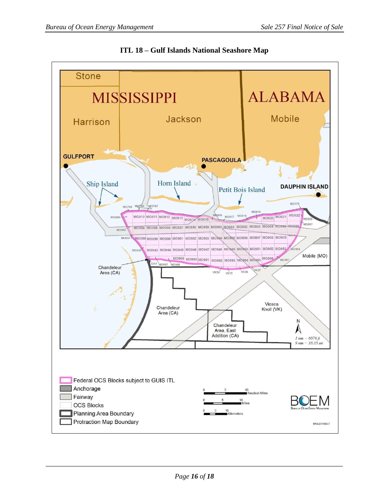

**ITL 18 – Gulf Islands National Seashore Map**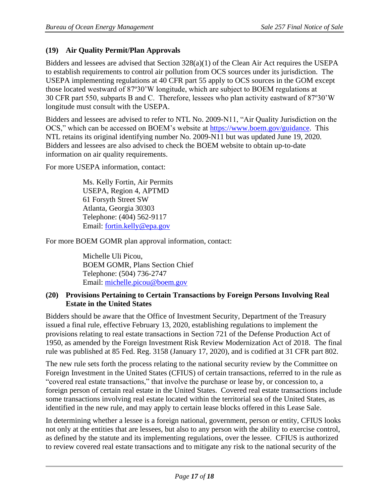# <span id="page-16-0"></span>**(19) Air Quality Permit/Plan Approvals**

Bidders and lessees are advised that Section 328(a)(1) of the Clean Air Act requires the USEPA to establish requirements to control air pollution from OCS sources under its jurisdiction. The USEPA implementing regulations at 40 CFR part 55 apply to OCS sources in the GOM except those located westward of 87º30'W longitude, which are subject to BOEM regulations at 30 CFR part 550, subparts B and C. Therefore, lessees who plan activity eastward of 87º30'W longitude must consult with the USEPA.

Bidders and lessees are advised to refer to NTL No. 2009-N11, "Air Quality Jurisdiction on the OCS," which can be accessed on BOEM's website at [https://www.boem.gov/guidance.](https://www.boem.gov/guidance) This NTL retains its original identifying number No. 2009-N11 but was updated June 19, 2020. Bidders and lessees are also advised to check the BOEM website to obtain up-to-date information on air quality requirements.

For more USEPA information, contact:

Ms. Kelly Fortin, Air Permits USEPA, Region 4, APTMD 61 Forsyth Street SW Atlanta, Georgia 30303 Telephone: (404) 562-9117 Email: [fortin.kelly@epa.gov](mailto:fortin.kelly@epa.gov)

For more BOEM GOMR plan approval information, contact:

Michelle Uli Picou, BOEM GOMR, Plans Section Chief Telephone: (504) 736-2747 Email: [michelle.picou@boem.gov](mailto:michelle.picou@boem.gov)

#### <span id="page-16-1"></span>**(20) Provisions Pertaining to Certain Transactions by Foreign Persons Involving Real Estate in the United States**

Bidders should be aware that the Office of Investment Security, Department of the Treasury issued a final rule, effective February 13, 2020, establishing regulations to implement the provisions relating to real estate transactions in Section 721 of the Defense Production Act of 1950, as amended by the Foreign Investment Risk Review Modernization Act of 2018. The final rule was published at 85 Fed. Reg. 3158 (January 17, 2020), and is codified at 31 CFR part 802.

The new rule sets forth the process relating to the national security review by the Committee on Foreign Investment in the United States (CFIUS) of certain transactions, referred to in the rule as "covered real estate transactions," that involve the purchase or lease by, or concession to, a foreign person of certain real estate in the United States. Covered real estate transactions include some transactions involving real estate located within the territorial sea of the United States, as identified in the new rule, and may apply to certain lease blocks offered in this Lease Sale.

In determining whether a lessee is a foreign national, government, person or entity, CFIUS looks not only at the entities that are lessees, but also to any person with the ability to exercise control, as defined by the statute and its implementing regulations, over the lessee. CFIUS is authorized to review covered real estate transactions and to mitigate any risk to the national security of the